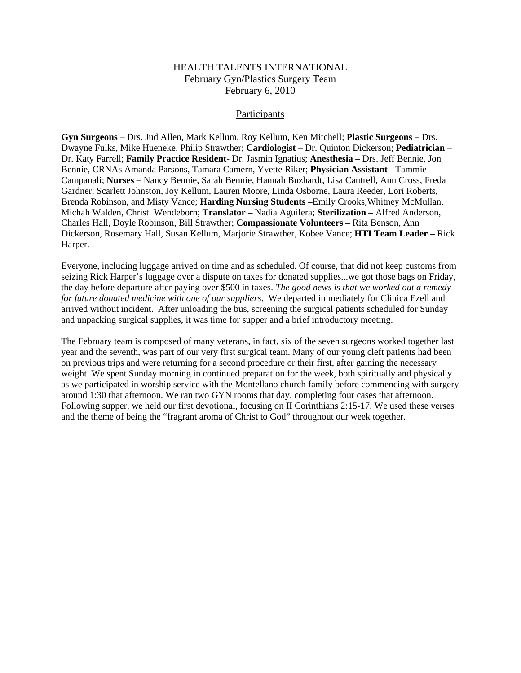## HEALTH TALENTS INTERNATIONAL February Gyn/Plastics Surgery Team February 6, 2010

## Participants

**Gyn Surgeons** – Drs. Jud Allen, Mark Kellum, Roy Kellum, Ken Mitchell; **Plastic Surgeons –** Drs. Dwayne Fulks, Mike Hueneke, Philip Strawther; **Cardiologist –** Dr. Quinton Dickerson; **Pediatrician** – Dr. Katy Farrell; **Family Practice Resident**- Dr. Jasmin Ignatius; **Anesthesia –** Drs. Jeff Bennie, Jon Bennie, CRNAs Amanda Parsons, Tamara Camern, Yvette Riker; **Physician Assistant** - Tammie Campanali; **Nurses –** Nancy Bennie, Sarah Bennie, Hannah Buzhardt, Lisa Cantrell, Ann Cross, Freda Gardner, Scarlett Johnston, Joy Kellum, Lauren Moore, Linda Osborne, Laura Reeder, Lori Roberts, Brenda Robinson, and Misty Vance; **Harding Nursing Students –**Emily Crooks,Whitney McMullan, Michah Walden, Christi Wendeborn; **Translator –** Nadia Aguilera; **Sterilization –** Alfred Anderson, Charles Hall, Doyle Robinson, Bill Strawther; **Compassionate Volunteers –** Rita Benson, Ann Dickerson, Rosemary Hall, Susan Kellum, Marjorie Strawther, Kobee Vance; **HTI Team Leader –** Rick Harper.

Everyone, including luggage arrived on time and as scheduled. Of course, that did not keep customs from seizing Rick Harper's luggage over a dispute on taxes for donated supplies...we got those bags on Friday, the day before departure after paying over \$500 in taxes. *The good news is that we worked out a remedy for future donated medicine with one of our suppliers*. We departed immediately for Clinica Ezell and arrived without incident. After unloading the bus, screening the surgical patients scheduled for Sunday and unpacking surgical supplies, it was time for supper and a brief introductory meeting.

The February team is composed of many veterans, in fact, six of the seven surgeons worked together last year and the seventh, was part of our very first surgical team. Many of our young cleft patients had been on previous trips and were returning for a second procedure or their first, after gaining the necessary weight. We spent Sunday morning in continued preparation for the week, both spiritually and physically as we participated in worship service with the Montellano church family before commencing with surgery around 1:30 that afternoon. We ran two GYN rooms that day, completing four cases that afternoon. Following supper, we held our first devotional, focusing on II Corinthians 2:15-17. We used these verses and the theme of being the "fragrant aroma of Christ to God" throughout our week together.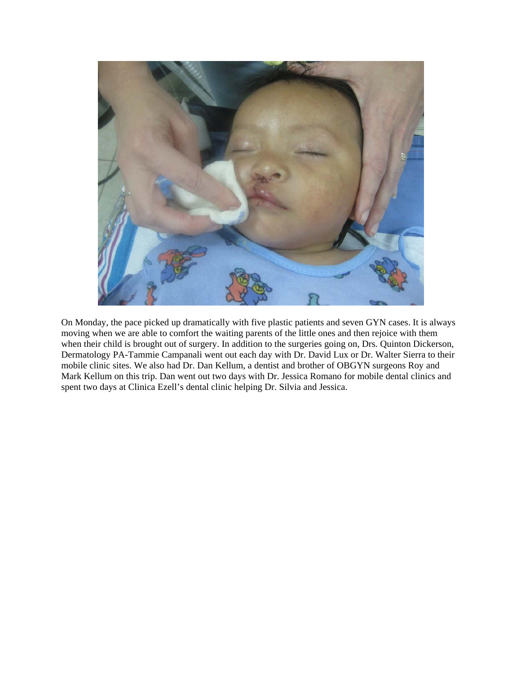

On Monday, the pace picked up dramatically with five plastic patients and seven GYN cases. It is always moving when we are able to comfort the waiting parents of the little ones and then rejoice with them when their child is brought out of surgery. In addition to the surgeries going on, Drs. Quinton Dickerson, Dermatology PA-Tammie Campanali went out each day with Dr. David Lux or Dr. Walter Sierra to their mobile clinic sites. We also had Dr. Dan Kellum, a dentist and brother of OBGYN surgeons Roy and Mark Kellum on this trip. Dan went out two days with Dr. Jessica Romano for mobile dental clinics and spent two days at Clinica Ezell's dental clinic helping Dr. Silvia and Jessica.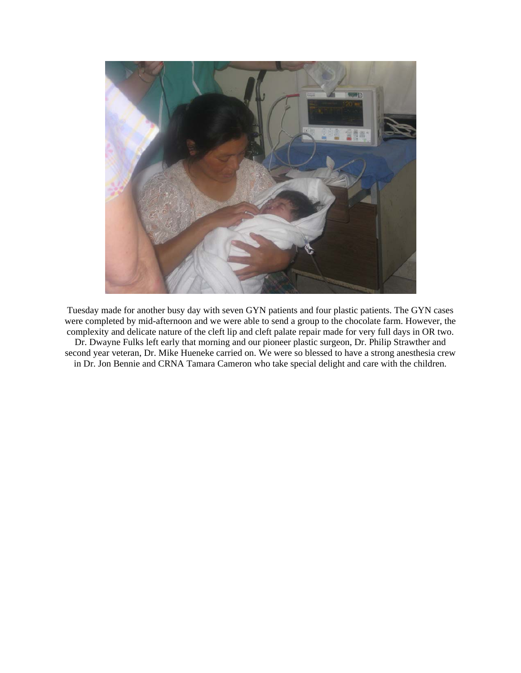

Tuesday made for another busy day with seven GYN patients and four plastic patients. The GYN cases were completed by mid-afternoon and we were able to send a group to the chocolate farm. However, the complexity and delicate nature of the cleft lip and cleft palate repair made for very full days in OR two. Dr. Dwayne Fulks left early that morning and our pioneer plastic surgeon, Dr. Philip Strawther and second year veteran, Dr. Mike Hueneke carried on. We were so blessed to have a strong anesthesia crew in Dr. Jon Bennie and CRNA Tamara Cameron who take special delight and care with the children.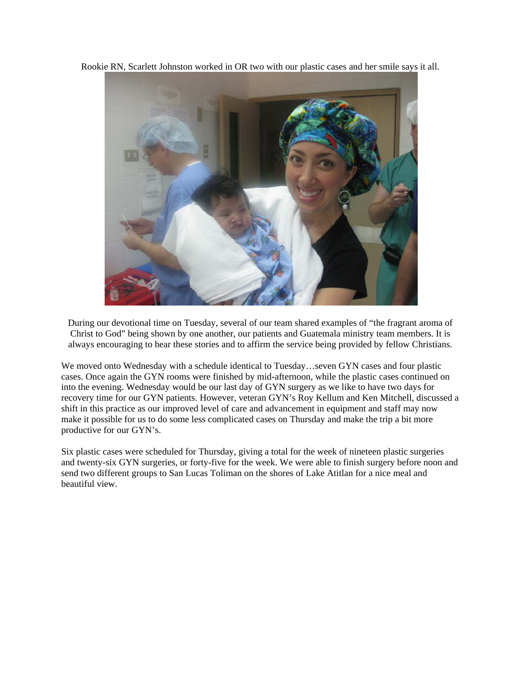Rookie RN, Scarlett Johnston worked in OR two with our plastic cases and her smile says it all.



During our devotional time on Tuesday, several of our team shared examples of "the fragrant aroma of Christ to God" being shown by one another, our patients and Guatemala ministry team members. It is always encouraging to hear these stories and to affirm the service being provided by fellow Christians.

We moved onto Wednesday with a schedule identical to Tuesday…seven GYN cases and four plastic cases. Once again the GYN rooms were finished by mid-afternoon, while the plastic cases continued on into the evening. Wednesday would be our last day of GYN surgery as we like to have two days for recovery time for our GYN patients. However, veteran GYN's Roy Kellum and Ken Mitchell, discussed a shift in this practice as our improved level of care and advancement in equipment and staff may now make it possible for us to do some less complicated cases on Thursday and make the trip a bit more productive for our GYN's.

Six plastic cases were scheduled for Thursday, giving a total for the week of nineteen plastic surgeries and twenty-six GYN surgeries, or forty-five for the week. We were able to finish surgery before noon and send two different groups to San Lucas Toliman on the shores of Lake Atitlan for a nice meal and beautiful view.